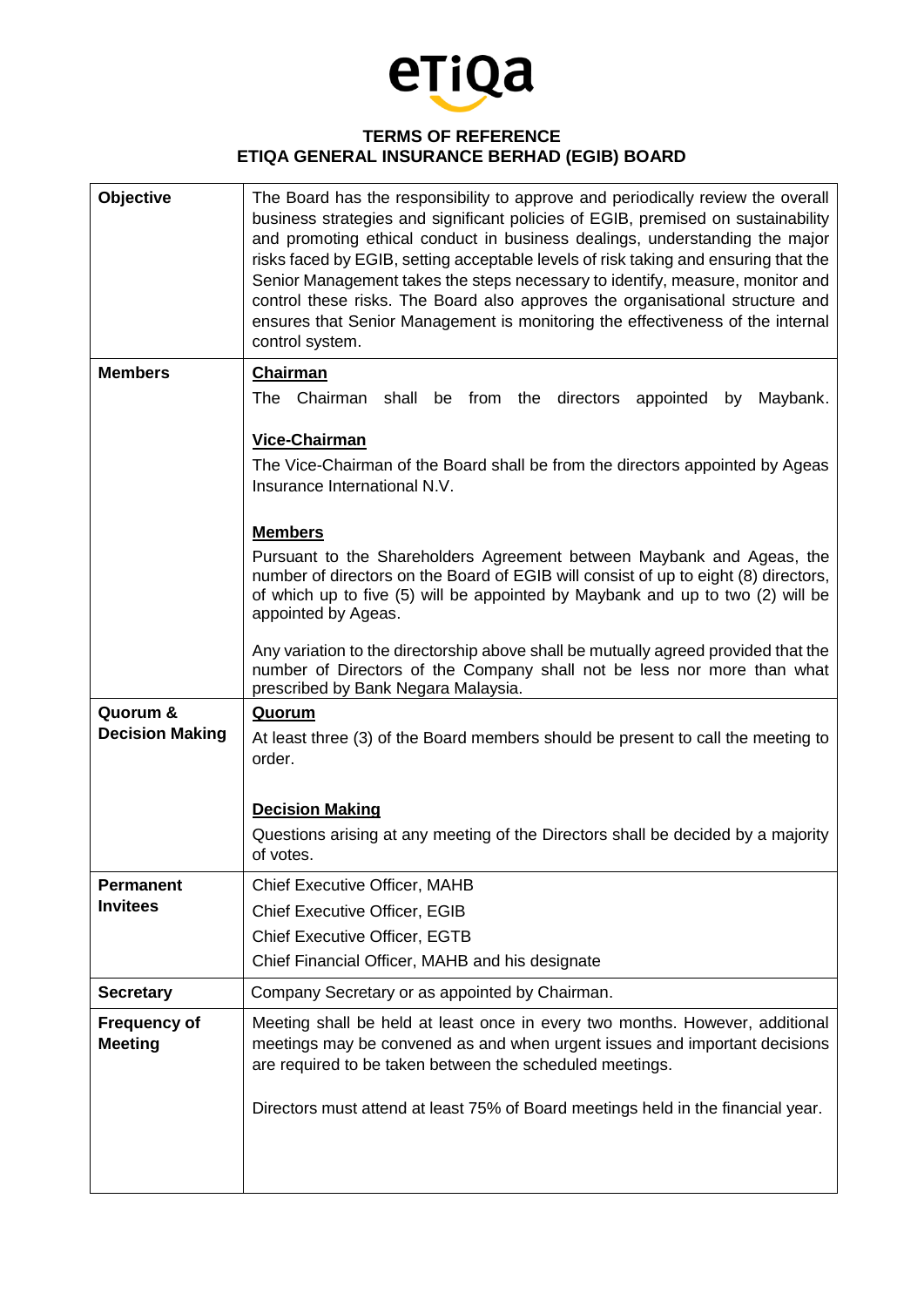

## **TERMS OF REFERENCE ETIQA GENERAL INSURANCE BERHAD (EGIB) BOARD**

| <b>Objective</b>                      | The Board has the responsibility to approve and periodically review the overall<br>business strategies and significant policies of EGIB, premised on sustainability<br>and promoting ethical conduct in business dealings, understanding the major<br>risks faced by EGIB, setting acceptable levels of risk taking and ensuring that the<br>Senior Management takes the steps necessary to identify, measure, monitor and<br>control these risks. The Board also approves the organisational structure and<br>ensures that Senior Management is monitoring the effectiveness of the internal<br>control system. |
|---------------------------------------|------------------------------------------------------------------------------------------------------------------------------------------------------------------------------------------------------------------------------------------------------------------------------------------------------------------------------------------------------------------------------------------------------------------------------------------------------------------------------------------------------------------------------------------------------------------------------------------------------------------|
| <b>Members</b>                        | <b>Chairman</b>                                                                                                                                                                                                                                                                                                                                                                                                                                                                                                                                                                                                  |
|                                       | The Chairman shall be from the directors appointed<br>Maybank.<br>by                                                                                                                                                                                                                                                                                                                                                                                                                                                                                                                                             |
|                                       | Vice-Chairman                                                                                                                                                                                                                                                                                                                                                                                                                                                                                                                                                                                                    |
|                                       | The Vice-Chairman of the Board shall be from the directors appointed by Ageas<br>Insurance International N.V.                                                                                                                                                                                                                                                                                                                                                                                                                                                                                                    |
|                                       | <b>Members</b>                                                                                                                                                                                                                                                                                                                                                                                                                                                                                                                                                                                                   |
|                                       | Pursuant to the Shareholders Agreement between Maybank and Ageas, the                                                                                                                                                                                                                                                                                                                                                                                                                                                                                                                                            |
|                                       | number of directors on the Board of EGIB will consist of up to eight (8) directors,<br>of which up to five (5) will be appointed by Maybank and up to two (2) will be                                                                                                                                                                                                                                                                                                                                                                                                                                            |
|                                       | appointed by Ageas.                                                                                                                                                                                                                                                                                                                                                                                                                                                                                                                                                                                              |
|                                       | Any variation to the directorship above shall be mutually agreed provided that the<br>number of Directors of the Company shall not be less nor more than what<br>prescribed by Bank Negara Malaysia.                                                                                                                                                                                                                                                                                                                                                                                                             |
| Quorum &                              | Quorum                                                                                                                                                                                                                                                                                                                                                                                                                                                                                                                                                                                                           |
| <b>Decision Making</b>                | At least three (3) of the Board members should be present to call the meeting to<br>order.                                                                                                                                                                                                                                                                                                                                                                                                                                                                                                                       |
|                                       | <b>Decision Making</b>                                                                                                                                                                                                                                                                                                                                                                                                                                                                                                                                                                                           |
|                                       | Questions arising at any meeting of the Directors shall be decided by a majority<br>of votes.                                                                                                                                                                                                                                                                                                                                                                                                                                                                                                                    |
| Permanent                             | <b>Chief Executive Officer, MAHB</b>                                                                                                                                                                                                                                                                                                                                                                                                                                                                                                                                                                             |
| <b>Invitees</b>                       | <b>Chief Executive Officer, EGIB</b>                                                                                                                                                                                                                                                                                                                                                                                                                                                                                                                                                                             |
|                                       | <b>Chief Executive Officer, EGTB</b>                                                                                                                                                                                                                                                                                                                                                                                                                                                                                                                                                                             |
|                                       | Chief Financial Officer, MAHB and his designate                                                                                                                                                                                                                                                                                                                                                                                                                                                                                                                                                                  |
| <b>Secretary</b>                      | Company Secretary or as appointed by Chairman.                                                                                                                                                                                                                                                                                                                                                                                                                                                                                                                                                                   |
| <b>Frequency of</b><br><b>Meeting</b> | Meeting shall be held at least once in every two months. However, additional<br>meetings may be convened as and when urgent issues and important decisions<br>are required to be taken between the scheduled meetings.                                                                                                                                                                                                                                                                                                                                                                                           |
|                                       | Directors must attend at least 75% of Board meetings held in the financial year.                                                                                                                                                                                                                                                                                                                                                                                                                                                                                                                                 |
|                                       |                                                                                                                                                                                                                                                                                                                                                                                                                                                                                                                                                                                                                  |